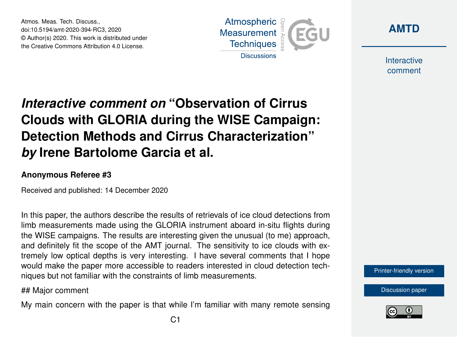Atmos. Meas. Tech. Discuss., doi:10.5194/amt-2020-394-RC3, 2020 © Author(s) 2020. This work is distributed under the Creative Commons Attribution 4.0 License.





Interactive comment

# *Interactive comment on* **"Observation of Cirrus Clouds with GLORIA during the WISE Campaign: Detection Methods and Cirrus Characterization"** *by* **Irene Bartolome Garcia et al.**

#### **Anonymous Referee #3**

Received and published: 14 December 2020

In this paper, the authors describe the results of retrievals of ice cloud detections from limb measurements made using the GLORIA instrument aboard in-situ flights during the WISE campaigns. The results are interesting given the unusual (to me) approach, and definitely fit the scope of the AMT journal. The sensitivity to ice clouds with extremely low optical depths is very interesting. I have several comments that I hope would make the paper more accessible to readers interested in cloud detection techniques but not familiar with the constraints of limb measurements.

## Major comment

My main concern with the paper is that while I'm familiar with many remote sensing



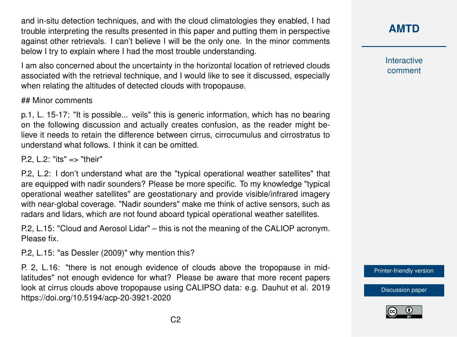and in-situ detection techniques, and with the cloud climatologies they enabled, I had trouble interpreting the results presented in this paper and putting them in perspective against other retrievals. I can't believe I will be the only one. In the minor comments below I try to explain where I had the most trouble understanding.

I am also concerned about the uncertainty in the horizontal location of retrieved clouds associated with the retrieval technique, and I would like to see it discussed, especially when relating the altitudes of detected clouds with tropopause.

## Minor comments

p.1, L. 15-17: "It is possible... veils" this is generic information, which has no bearing on the following discussion and actually creates confusion, as the reader might believe it needs to retain the difference between cirrus, cirrocumulus and cirrostratus to understand what follows. I think it can be omitted.

P.2, L.2: "its" => "their"

P.2, L.2: I don't understand what are the "typical operational weather satellites" that are equipped with nadir sounders? Please be more specific. To my knowledge "typical operational weather satellites" are geostationary and provide visible/infrared imagery with near-global coverage. "Nadir sounders" make me think of active sensors, such as radars and lidars, which are not found aboard typical operational weather satellites.

P.2, L.15: "Cloud and Aerosol Lidar" – this is not the meaning of the CALIOP acronym. Please fix.

P.2, L.15: "as Dessler (2009)" why mention this?

P. 2, L.16: "there is not enough evidence of clouds above the tropopause in midlatitudes" not enough evidence for what? Please be aware that more recent papers look at cirrus clouds above tropopause using CALIPSO data: e.g. Dauhut et al. 2019 https://doi.org/10.5194/acp-20-3921-2020

**[AMTD](https://amt.copernicus.org/preprints/)**

Interactive comment

[Printer-friendly version](https://amt.copernicus.org/preprints/amt-2020-394/amt-2020-394-RC3-print.pdf)

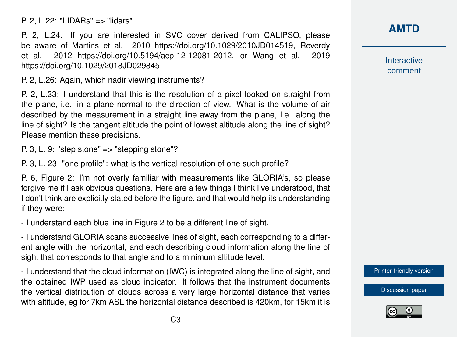P. 2, L.22: "LIDARs" => "lidars"

P. 2, L.24: If you are interested in SVC cover derived from CALIPSO, please be aware of Martins et al. 2010 https://doi.org/10.1029/2010JD014519, Reverdy et al. 2012 https://doi.org/10.5194/acp-12-12081-2012, or Wang et al. 2019 https://doi.org/10.1029/2018JD029845

P. 2, L.26: Again, which nadir viewing instruments?

P. 2, L.33: I understand that this is the resolution of a pixel looked on straight from the plane, i.e. in a plane normal to the direction of view. What is the volume of air described by the measurement in a straight line away from the plane, I.e. along the line of sight? Is the tangent altitude the point of lowest altitude along the line of sight? Please mention these precisions.

P. 3, L. 9: "step stone" => "stepping stone"?

P. 3, L. 23: "one profile": what is the vertical resolution of one such profile?

P. 6, Figure 2: I'm not overly familiar with measurements like GLORIA's, so please forgive me if I ask obvious questions. Here are a few things I think I've understood, that I don't think are explicitly stated before the figure, and that would help its understanding if they were:

- I understand each blue line in Figure 2 to be a different line of sight.

- I understand GLORIA scans successive lines of sight, each corresponding to a different angle with the horizontal, and each describing cloud information along the line of sight that corresponds to that angle and to a minimum altitude level.

- I understand that the cloud information (IWC) is integrated along the line of sight, and the obtained IWP used as cloud indicator. It follows that the instrument documents the vertical distribution of clouds across a very large horizontal distance that varies with altitude, eg for 7km ASL the horizontal distance described is 420km, for 15km it is

## **[AMTD](https://amt.copernicus.org/preprints/)**

Interactive comment

[Printer-friendly version](https://amt.copernicus.org/preprints/amt-2020-394/amt-2020-394-RC3-print.pdf)

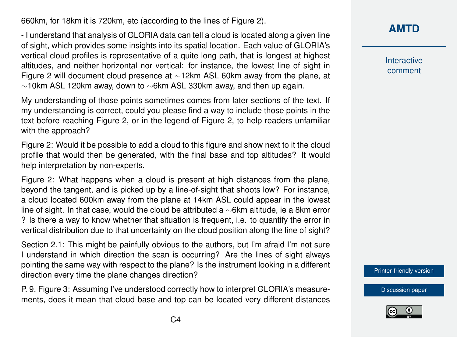660km, for 18km it is 720km, etc (according to the lines of Figure 2).

- I understand that analysis of GLORIA data can tell a cloud is located along a given line of sight, which provides some insights into its spatial location. Each value of GLORIA's vertical cloud profiles is representative of a quite long path, that is longest at highest altitudes, and neither horizontal nor vertical: for instance, the lowest line of sight in Figure 2 will document cloud presence at ∼12km ASL 60km away from the plane, at  $\sim$ 10km ASL 120km away, down to  $\sim$ 6km ASL 330km away, and then up again.

My understanding of those points sometimes comes from later sections of the text. If my understanding is correct, could you please find a way to include those points in the text before reaching Figure 2, or in the legend of Figure 2, to help readers unfamiliar with the approach?

Figure 2: Would it be possible to add a cloud to this figure and show next to it the cloud profile that would then be generated, with the final base and top altitudes? It would help interpretation by non-experts.

Figure 2: What happens when a cloud is present at high distances from the plane, beyond the tangent, and is picked up by a line-of-sight that shoots low? For instance, a cloud located 600km away from the plane at 14km ASL could appear in the lowest line of sight. In that case, would the cloud be attributed a ∼6km altitude, ie a 8km error ? Is there a way to know whether that situation is frequent, i.e. to quantify the error in vertical distribution due to that uncertainty on the cloud position along the line of sight?

Section 2.1: This might be painfully obvious to the authors, but I'm afraid I'm not sure I understand in which direction the scan is occurring? Are the lines of sight always pointing the same way with respect to the plane? Is the instrument looking in a different direction every time the plane changes direction?

P. 9, Figure 3: Assuming I've understood correctly how to interpret GLORIA's measurements, does it mean that cloud base and top can be located very different distances

### **[AMTD](https://amt.copernicus.org/preprints/)**

Interactive comment

[Printer-friendly version](https://amt.copernicus.org/preprints/amt-2020-394/amt-2020-394-RC3-print.pdf)

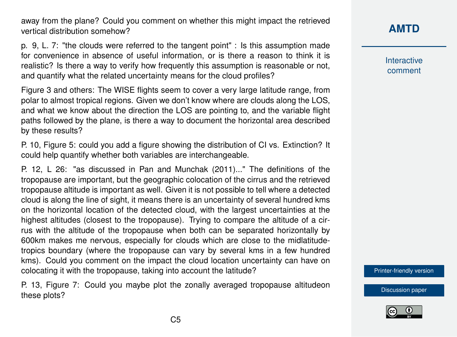away from the plane? Could you comment on whether this might impact the retrieved vertical distribution somehow?

p. 9, L. 7: "the clouds were referred to the tangent point" : Is this assumption made for convenience in absence of useful information, or is there a reason to think it is realistic? Is there a way to verify how frequently this assumption is reasonable or not, and quantify what the related uncertainty means for the cloud profiles?

Figure 3 and others: The WISE flights seem to cover a very large latitude range, from polar to almost tropical regions. Given we don't know where are clouds along the LOS, and what we know about the direction the LOS are pointing to, and the variable flight paths followed by the plane, is there a way to document the horizontal area described by these results?

P. 10, Figure 5: could you add a figure showing the distribution of CI vs. Extinction? It could help quantify whether both variables are interchangeable.

P. 12, L 26: "as discussed in Pan and Munchak (2011)..." The definitions of the tropopause are important, but the geographic colocation of the cirrus and the retrieved tropopause altitude is important as well. Given it is not possible to tell where a detected cloud is along the line of sight, it means there is an uncertainty of several hundred kms on the horizontal location of the detected cloud, with the largest uncertainties at the highest altitudes (closest to the tropopause). Trying to compare the altitude of a cirrus with the altitude of the tropopause when both can be separated horizontally by 600km makes me nervous, especially for clouds which are close to the midlatitudetropics boundary (where the tropopause can vary by several kms in a few hundred kms). Could you comment on the impact the cloud location uncertainty can have on colocating it with the tropopause, taking into account the latitude?

P. 13, Figure 7: Could you maybe plot the zonally averaged tropopause altitudeon these plots?

**[AMTD](https://amt.copernicus.org/preprints/)**

Interactive comment

[Printer-friendly version](https://amt.copernicus.org/preprints/amt-2020-394/amt-2020-394-RC3-print.pdf)